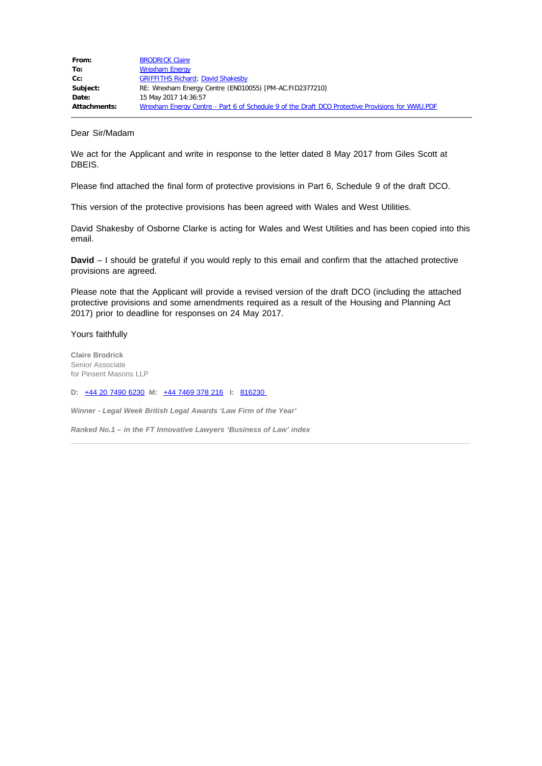| From:               | <b>BRODRICK Claire</b>                                                                          |
|---------------------|-------------------------------------------------------------------------------------------------|
| To:                 | <b>Wrexham Energy</b>                                                                           |
| Cc:                 | <b>GRIFFITHS Richard; David Shakesby</b>                                                        |
| Subject:            | RE: Wrexham Energy Centre (EN010055) [PM-AC.FID2377210]                                         |
| Date:               | 15 May 2017 14:36:57                                                                            |
| <b>Attachments:</b> | Wrexham Energy Centre - Part 6 of Schedule 9 of the Draft DCO Protective Provisions for WWU.PDF |

#### Dear Sir/Madam

We act for the Applicant and write in response to the letter dated 8 May 2017 from Giles Scott at DBEIS.

Please find attached the final form of protective provisions in Part 6, Schedule 9 of the draft DCO.

This version of the protective provisions has been agreed with Wales and West Utilities.

David Shakesby of Osborne Clarke is acting for Wales and West Utilities and has been copied into this email.

**David** – I should be grateful if you would reply to this email and confirm that the attached protective provisions are agreed.

Please note that the Applicant will provide a revised version of the draft DCO (including the attached protective provisions and some amendments required as a result of the Housing and Planning Act 2017) prior to deadline for responses on 24 May 2017.

# Yours faithfully

**Claire Brodrick**  Senior Associate for Pinsent Masons LLP

**D:** [+44 20 7490 6230](tel:+44%2020%207490%206230) **M:** [+44 7469 378 216](tel:+44%207469%20378%20216) **I:** [816230](tel:816230) 

*Winner - Legal Week British Legal Awards 'Law Firm of the Year'* 

*Ranked No.1 – in the FT Innovative Lawyers 'Business of Law' index*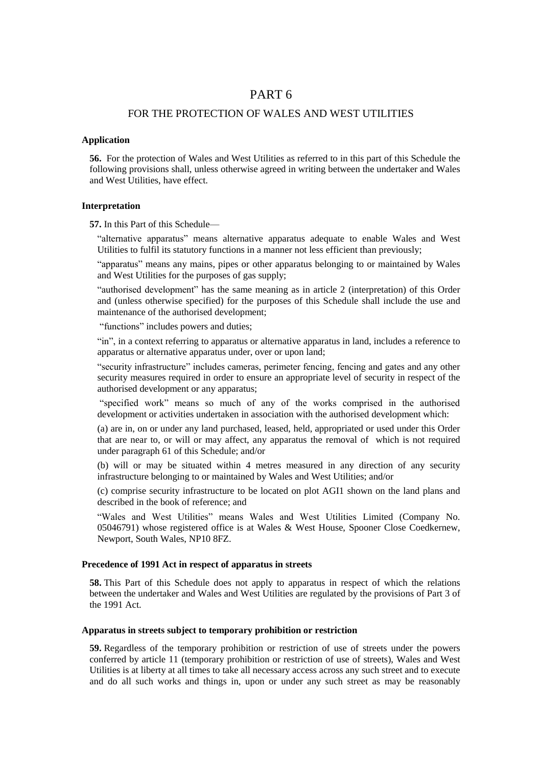# PART 6

# FOR THE PROTECTION OF WALES AND WEST UTILITIES

#### **Application**

**56.** For the protection of Wales and West Utilities as referred to in this part of this Schedule the following provisions shall, unless otherwise agreed in writing between the undertaker and Wales and West Utilities, have effect.

## **Interpretation**

**57.** In this Part of this Schedule—

"alternative apparatus" means alternative apparatus adequate to enable Wales and West Utilities to fulfil its statutory functions in a manner not less efficient than previously;

"apparatus" means any mains, pipes or other apparatus belonging to or maintained by Wales and West Utilities for the purposes of gas supply;

"authorised development" has the same meaning as in article 2 (interpretation) of this Order and (unless otherwise specified) for the purposes of this Schedule shall include the use and maintenance of the authorised development;

"functions" includes powers and duties;

"in", in a context referring to apparatus or alternative apparatus in land, includes a reference to apparatus or alternative apparatus under, over or upon land;

"security infrastructure" includes cameras, perimeter fencing, fencing and gates and any other security measures required in order to ensure an appropriate level of security in respect of the authorised development or any apparatus;

"specified work" means so much of any of the works comprised in the authorised development or activities undertaken in association with the authorised development which:

(a) are in, on or under any land purchased, leased, held, appropriated or used under this Order that are near to, or will or may affect, any apparatus the removal of which is not required under paragraph 61 of this Schedule; and/or

(b) will or may be situated within 4 metres measured in any direction of any security infrastructure belonging to or maintained by Wales and West Utilities; and/or

(c) comprise security infrastructure to be located on plot AGI1 shown on the land plans and described in the book of reference; and

"Wales and West Utilities" means Wales and West Utilities Limited (Company No. 05046791) whose registered office is at Wales & West House, Spooner Close Coedkernew, Newport, South Wales, NP10 8FZ.

## **Precedence of 1991 Act in respect of apparatus in streets**

**58.** This Part of this Schedule does not apply to apparatus in respect of which the relations between the undertaker and Wales and West Utilities are regulated by the provisions of Part 3 of the 1991 Act.

#### **Apparatus in streets subject to temporary prohibition or restriction**

**59.** Regardless of the temporary prohibition or restriction of use of streets under the powers conferred by article 11 (temporary prohibition or restriction of use of streets), Wales and West Utilities is at liberty at all times to take all necessary access across any such street and to execute and do all such works and things in, upon or under any such street as may be reasonably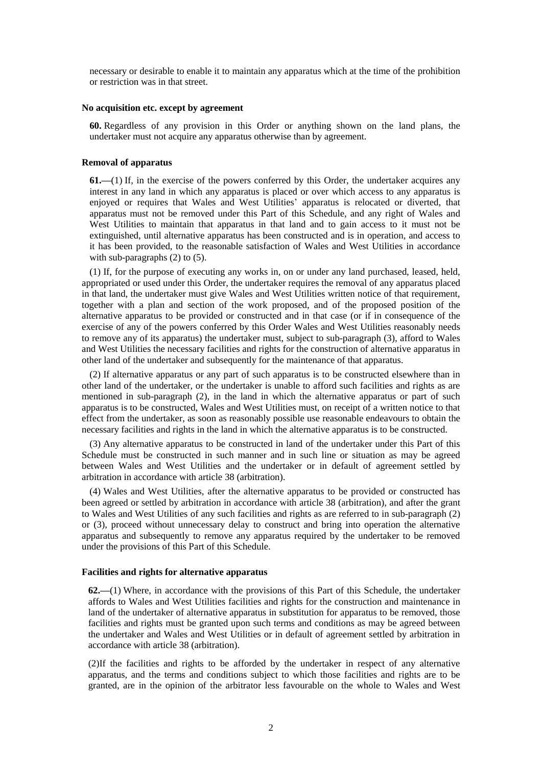necessary or desirable to enable it to maintain any apparatus which at the time of the prohibition or restriction was in that street.

#### **No acquisition etc. except by agreement**

**60.** Regardless of any provision in this Order or anything shown on the land plans, the undertaker must not acquire any apparatus otherwise than by agreement.

#### **Removal of apparatus**

**61.—**(1) If, in the exercise of the powers conferred by this Order, the undertaker acquires any interest in any land in which any apparatus is placed or over which access to any apparatus is enjoyed or requires that Wales and West Utilities' apparatus is relocated or diverted, that apparatus must not be removed under this Part of this Schedule, and any right of Wales and West Utilities to maintain that apparatus in that land and to gain access to it must not be extinguished, until alternative apparatus has been constructed and is in operation, and access to it has been provided, to the reasonable satisfaction of Wales and West Utilities in accordance with sub-paragraphs (2) to (5).

(1) If, for the purpose of executing any works in, on or under any land purchased, leased, held, appropriated or used under this Order, the undertaker requires the removal of any apparatus placed in that land, the undertaker must give Wales and West Utilities written notice of that requirement, together with a plan and section of the work proposed, and of the proposed position of the alternative apparatus to be provided or constructed and in that case (or if in consequence of the exercise of any of the powers conferred by this Order Wales and West Utilities reasonably needs to remove any of its apparatus) the undertaker must, subject to sub-paragraph (3), afford to Wales and West Utilities the necessary facilities and rights for the construction of alternative apparatus in other land of the undertaker and subsequently for the maintenance of that apparatus.

(2) If alternative apparatus or any part of such apparatus is to be constructed elsewhere than in other land of the undertaker, or the undertaker is unable to afford such facilities and rights as are mentioned in sub-paragraph (2), in the land in which the alternative apparatus or part of such apparatus is to be constructed, Wales and West Utilities must, on receipt of a written notice to that effect from the undertaker, as soon as reasonably possible use reasonable endeavours to obtain the necessary facilities and rights in the land in which the alternative apparatus is to be constructed.

(3) Any alternative apparatus to be constructed in land of the undertaker under this Part of this Schedule must be constructed in such manner and in such line or situation as may be agreed between Wales and West Utilities and the undertaker or in default of agreement settled by arbitration in accordance with article 38 (arbitration).

(4) Wales and West Utilities, after the alternative apparatus to be provided or constructed has been agreed or settled by arbitration in accordance with article 38 (arbitration), and after the grant to Wales and West Utilities of any such facilities and rights as are referred to in sub-paragraph (2) or (3), proceed without unnecessary delay to construct and bring into operation the alternative apparatus and subsequently to remove any apparatus required by the undertaker to be removed under the provisions of this Part of this Schedule.

# **Facilities and rights for alternative apparatus**

**62.—**(1) Where, in accordance with the provisions of this Part of this Schedule, the undertaker affords to Wales and West Utilities facilities and rights for the construction and maintenance in land of the undertaker of alternative apparatus in substitution for apparatus to be removed, those facilities and rights must be granted upon such terms and conditions as may be agreed between the undertaker and Wales and West Utilities or in default of agreement settled by arbitration in accordance with article 38 (arbitration).

(2)If the facilities and rights to be afforded by the undertaker in respect of any alternative apparatus, and the terms and conditions subject to which those facilities and rights are to be granted, are in the opinion of the arbitrator less favourable on the whole to Wales and West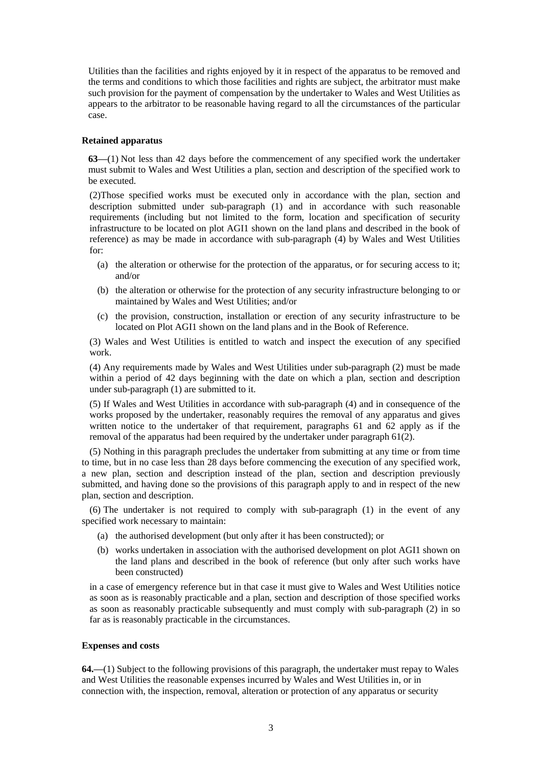Utilities than the facilities and rights enjoyed by it in respect of the apparatus to be removed and the terms and conditions to which those facilities and rights are subject, the arbitrator must make such provision for the payment of compensation by the undertaker to Wales and West Utilities as appears to the arbitrator to be reasonable having regard to all the circumstances of the particular case.

## **Retained apparatus**

**63—**(1) Not less than 42 days before the commencement of any specified work the undertaker must submit to Wales and West Utilities a plan, section and description of the specified work to be executed.

(2)Those specified works must be executed only in accordance with the plan, section and description submitted under sub-paragraph (1) and in accordance with such reasonable requirements (including but not limited to the form, location and specification of security infrastructure to be located on plot AGI1 shown on the land plans and described in the book of reference) as may be made in accordance with sub-paragraph (4) by Wales and West Utilities for:

- (a) the alteration or otherwise for the protection of the apparatus, or for securing access to it; and/or
- (b) the alteration or otherwise for the protection of any security infrastructure belonging to or maintained by Wales and West Utilities; and/or
- (c) the provision, construction, installation or erection of any security infrastructure to be located on Plot AGI1 shown on the land plans and in the Book of Reference.

(3) Wales and West Utilities is entitled to watch and inspect the execution of any specified work.

(4) Any requirements made by Wales and West Utilities under sub-paragraph (2) must be made within a period of 42 days beginning with the date on which a plan, section and description under sub-paragraph (1) are submitted to it.

(5) If Wales and West Utilities in accordance with sub-paragraph (4) and in consequence of the works proposed by the undertaker, reasonably requires the removal of any apparatus and gives written notice to the undertaker of that requirement, paragraphs 61 and 62 apply as if the removal of the apparatus had been required by the undertaker under paragraph 61(2).

(5) Nothing in this paragraph precludes the undertaker from submitting at any time or from time to time, but in no case less than 28 days before commencing the execution of any specified work, a new plan, section and description instead of the plan, section and description previously submitted, and having done so the provisions of this paragraph apply to and in respect of the new plan, section and description.

(6) The undertaker is not required to comply with sub-paragraph (1) in the event of any specified work necessary to maintain:

- (a) the authorised development (but only after it has been constructed); or
- (b) works undertaken in association with the authorised development on plot AGI1 shown on the land plans and described in the book of reference (but only after such works have been constructed)

in a case of emergency reference but in that case it must give to Wales and West Utilities notice as soon as is reasonably practicable and a plan, section and description of those specified works as soon as reasonably practicable subsequently and must comply with sub-paragraph (2) in so far as is reasonably practicable in the circumstances.

#### **Expenses and costs**

**64.—**(1) Subject to the following provisions of this paragraph, the undertaker must repay to Wales and West Utilities the reasonable expenses incurred by Wales and West Utilities in, or in connection with, the inspection, removal, alteration or protection of any apparatus or security